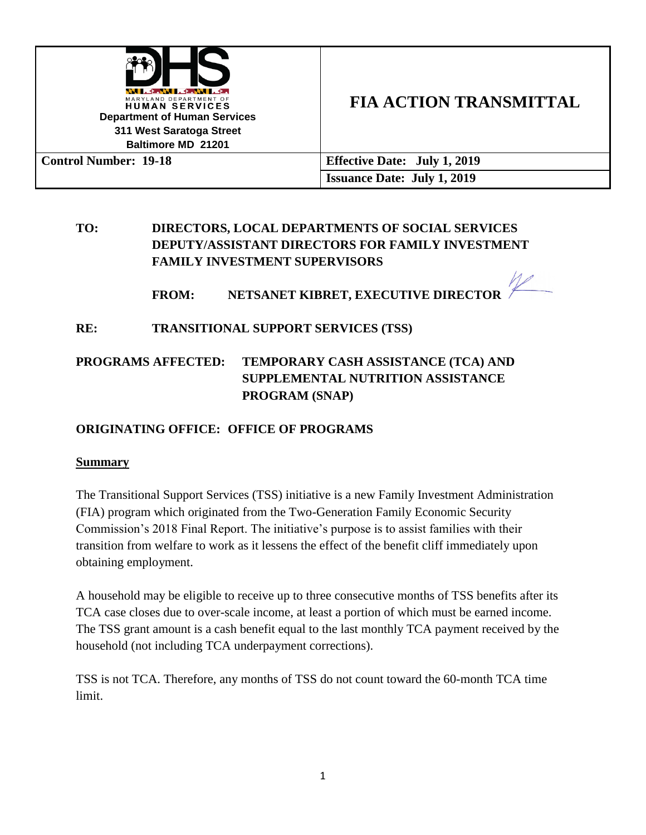

# **FIA ACTION TRANSMITTAL**

**Control Number: 19-18 Effective Date: July 1, 2019 Issuance Date: July 1, 2019**

## **TO: DIRECTORS, LOCAL DEPARTMENTS OF SOCIAL SERVICES DEPUTY/ASSISTANT DIRECTORS FOR FAMILY INVESTMENT FAMILY INVESTMENT SUPERVISORS**

## **FROM: NETSANET KIBRET, EXECUTIVE DIRECTOR**

## **RE: TRANSITIONAL SUPPORT SERVICES (TSS)**

## **PROGRAMS AFFECTED: TEMPORARY CASH ASSISTANCE (TCA) AND SUPPLEMENTAL NUTRITION ASSISTANCE PROGRAM (SNAP)**

## **ORIGINATING OFFICE: OFFICE OF PROGRAMS**

#### **Summary**

The Transitional Support Services (TSS) initiative is a new Family Investment Administration (FIA) program which originated from the Two-Generation Family Economic Security Commission's 2018 Final Report. The initiative's purpose is to assist families with their transition from welfare to work as it lessens the effect of the benefit cliff immediately upon obtaining employment.

A household may be eligible to receive up to three consecutive months of TSS benefits after its TCA case closes due to over-scale income, at least a portion of which must be earned income. The TSS grant amount is a cash benefit equal to the last monthly TCA payment received by the household (not including TCA underpayment corrections).

TSS is not TCA. Therefore, any months of TSS do not count toward the 60-month TCA time limit.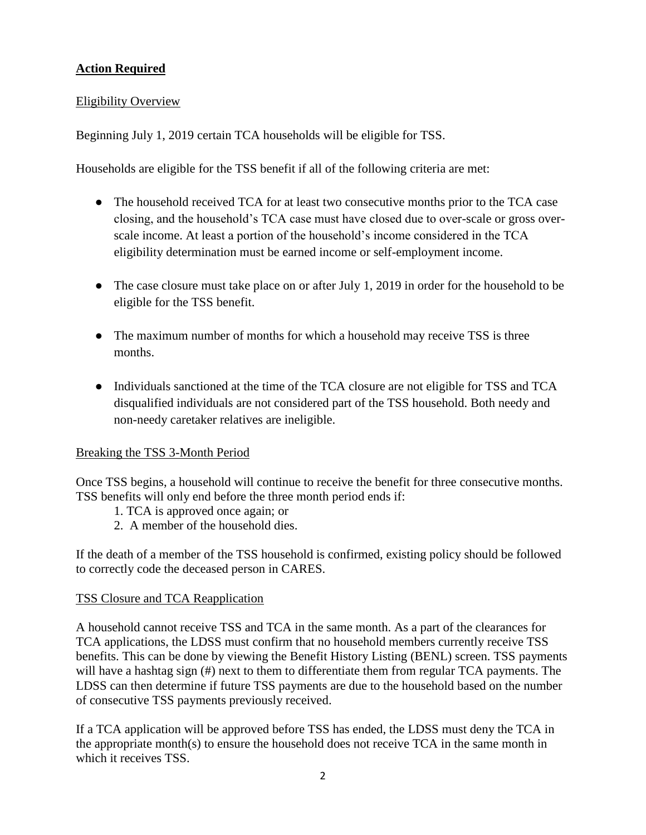## **Action Required**

#### Eligibility Overview

Beginning July 1, 2019 certain TCA households will be eligible for TSS.

Households are eligible for the TSS benefit if all of the following criteria are met:

- The household received TCA for at least two consecutive months prior to the TCA case closing, and the household's TCA case must have closed due to over-scale or gross overscale income. At least a portion of the household's income considered in the TCA eligibility determination must be earned income or self-employment income.
- The case closure must take place on or after July 1, 2019 in order for the household to be eligible for the TSS benefit.
- The maximum number of months for which a household may receive TSS is three months.
- Individuals sanctioned at the time of the TCA closure are not eligible for TSS and TCA disqualified individuals are not considered part of the TSS household. Both needy and non-needy caretaker relatives are ineligible.

#### Breaking the TSS 3-Month Period

Once TSS begins, a household will continue to receive the benefit for three consecutive months. TSS benefits will only end before the three month period ends if:

- 1. TCA is approved once again; or
- 2. A member of the household dies.

If the death of a member of the TSS household is confirmed, existing policy should be followed to correctly code the deceased person in CARES.

#### TSS Closure and TCA Reapplication

A household cannot receive TSS and TCA in the same month. As a part of the clearances for TCA applications, the LDSS must confirm that no household members currently receive TSS benefits. This can be done by viewing the Benefit History Listing (BENL) screen. TSS payments will have a hashtag sign (#) next to them to differentiate them from regular TCA payments. The LDSS can then determine if future TSS payments are due to the household based on the number of consecutive TSS payments previously received.

If a TCA application will be approved before TSS has ended, the LDSS must deny the TCA in the appropriate month(s) to ensure the household does not receive TCA in the same month in which it receives TSS.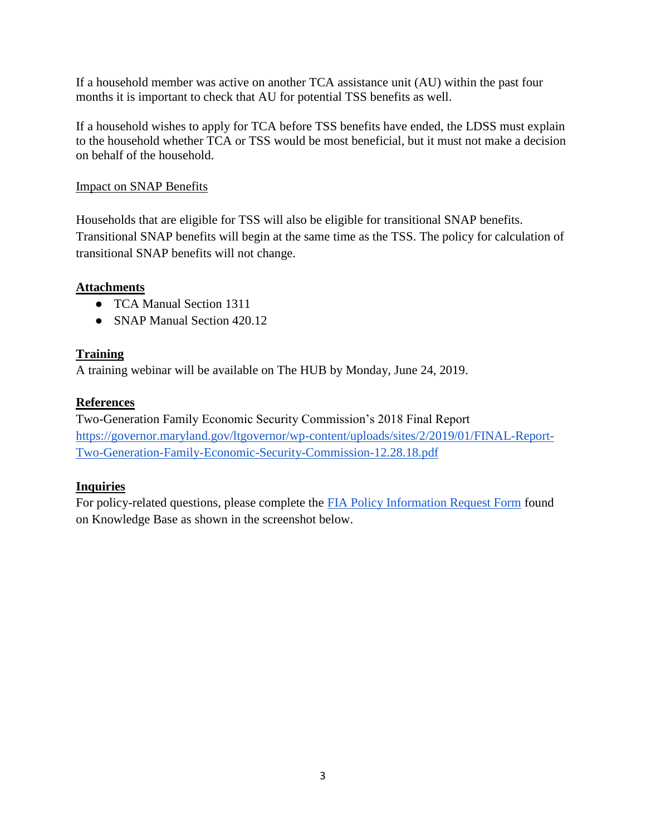If a household member was active on another TCA assistance unit (AU) within the past four months it is important to check that AU for potential TSS benefits as well.

If a household wishes to apply for TCA before TSS benefits have ended, the LDSS must explain to the household whether TCA or TSS would be most beneficial, but it must not make a decision on behalf of the household.

#### Impact on SNAP Benefits

Households that are eligible for TSS will also be eligible for transitional SNAP benefits. Transitional SNAP benefits will begin at the same time as the TSS. The policy for calculation of transitional SNAP benefits will not change.

## **Attachments**

- TCA Manual Section 1311
- SNAP Manual Section 420.12

## **Training**

A training webinar will be available on The HUB by Monday, June 24, 2019.

## **References**

Two-Generation Family Economic Security Commission's 2018 Final Report [https://governor.maryland.gov/ltgovernor/wp-content/uploads/sites/2/2019/01/FINAL-Report-](https://governor.maryland.gov/ltgovernor/wp-content/uploads/sites/2/2019/01/FINAL-Report-Two-Generation-Family-Economic-Security-Commission-12.28.18.pdf)[Two-Generation-Family-Economic-Security-Commission-12.28.18.pdf](https://governor.maryland.gov/ltgovernor/wp-content/uploads/sites/2/2019/01/FINAL-Report-Two-Generation-Family-Economic-Security-Commission-12.28.18.pdf)

## **Inquiries**

For policy-related questions, please complete the [FIA Policy Information Request Form](http://kb.dhs.maryland.gov/family-investment-administration/contact-us-with-your-fia-program-eligibility-policy-question/) found on Knowledge Base as shown in the screenshot below.